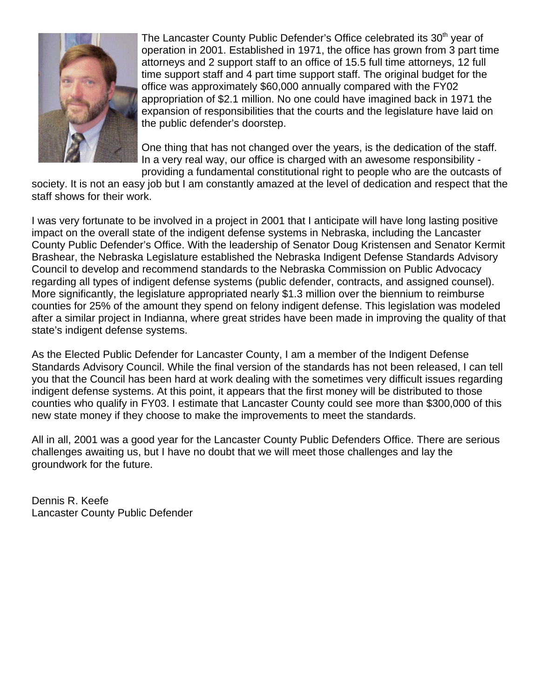

The Lancaster County Public Defender's Office celebrated its 30<sup>th</sup> year of operation in 2001. Established in 1971, the office has grown from 3 part time attorneys and 2 support staff to an office of 15.5 full time attorneys, 12 full time support staff and 4 part time support staff. The original budget for the office was approximately \$60,000 annually compared with the FY02 appropriation of \$2.1 million. No one could have imagined back in 1971 the expansion of responsibilities that the courts and the legislature have laid on the public defender's doorstep.

One thing that has not changed over the years, is the dedication of the staff. In a very real way, our office is charged with an awesome responsibility providing a fundamental constitutional right to people who are the outcasts of

society. It is not an easy job but I am constantly amazed at the level of dedication and respect that the staff shows for their work.

I was very fortunate to be involved in a project in 2001 that I anticipate will have long lasting positive impact on the overall state of the indigent defense systems in Nebraska, including the Lancaster County Public Defender's Office. With the leadership of Senator Doug Kristensen and Senator Kermit Brashear, the Nebraska Legislature established the Nebraska Indigent Defense Standards Advisory Council to develop and recommend standards to the Nebraska Commission on Public Advocacy regarding all types of indigent defense systems (public defender, contracts, and assigned counsel). More significantly, the legislature appropriated nearly \$1.3 million over the biennium to reimburse counties for 25% of the amount they spend on felony indigent defense. This legislation was modeled after a similar project in Indianna, where great strides have been made in improving the quality of that state's indigent defense systems.

As the Elected Public Defender for Lancaster County, I am a member of the Indigent Defense Standards Advisory Council. While the final version of the standards has not been released, I can tell you that the Council has been hard at work dealing with the sometimes very difficult issues regarding indigent defense systems. At this point, it appears that the first money will be distributed to those counties who qualify in FY03. I estimate that Lancaster County could see more than \$300,000 of this new state money if they choose to make the improvements to meet the standards.

All in all, 2001 was a good year for the Lancaster County Public Defenders Office. There are serious challenges awaiting us, but I have no doubt that we will meet those challenges and lay the groundwork for the future.

Dennis R. Keefe Lancaster County Public Defender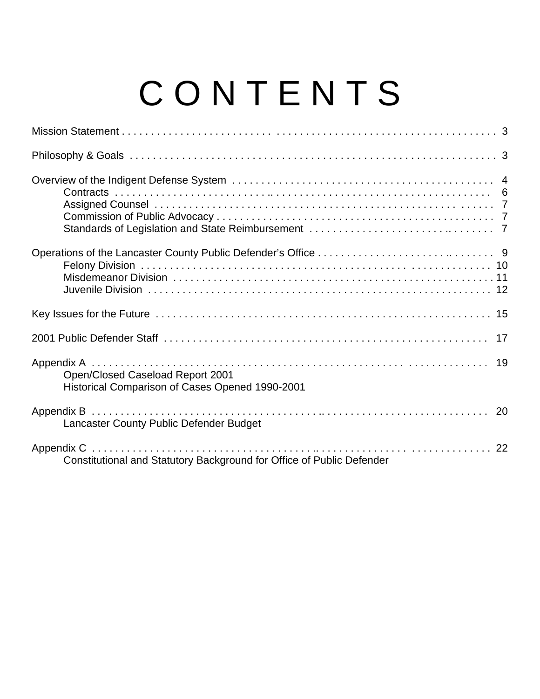## C O N T E N T S

| Open/Closed Caseload Report 2001<br>Historical Comparison of Cases Opened 1990-2001 |
|-------------------------------------------------------------------------------------|
| Lancaster County Public Defender Budget                                             |
| Constitutional and Statutory Background for Office of Public Defender               |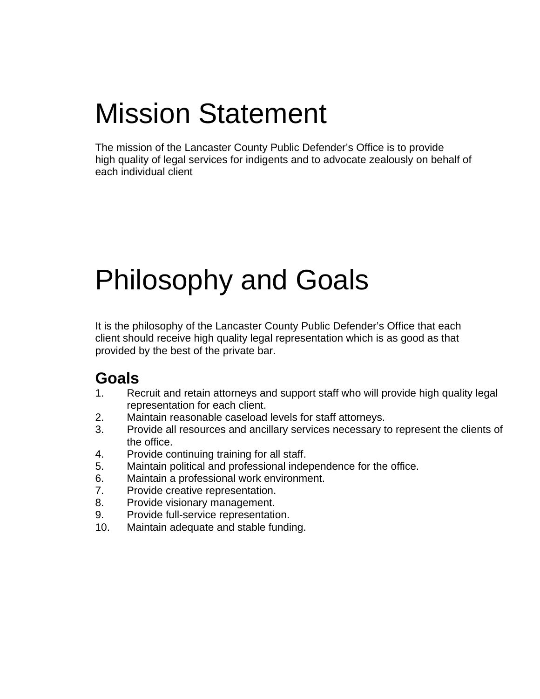## Mission Statement

The mission of the Lancaster County Public Defender's Office is to provide high quality of legal services for indigents and to advocate zealously on behalf of each individual client

## Philosophy and Goals

It is the philosophy of the Lancaster County Public Defender's Office that each client should receive high quality legal representation which is as good as that provided by the best of the private bar.

## **Goals**

- 1. Recruit and retain attorneys and support staff who will provide high quality legal representation for each client.
- 2. Maintain reasonable caseload levels for staff attorneys.
- 3. Provide all resources and ancillary services necessary to represent the clients of the office.
- 4. Provide continuing training for all staff.
- 5. Maintain political and professional independence for the office.
- 6. Maintain a professional work environment.
- 7. Provide creative representation.
- 8. Provide visionary management.
- 9. Provide full-service representation.
- 10. Maintain adequate and stable funding.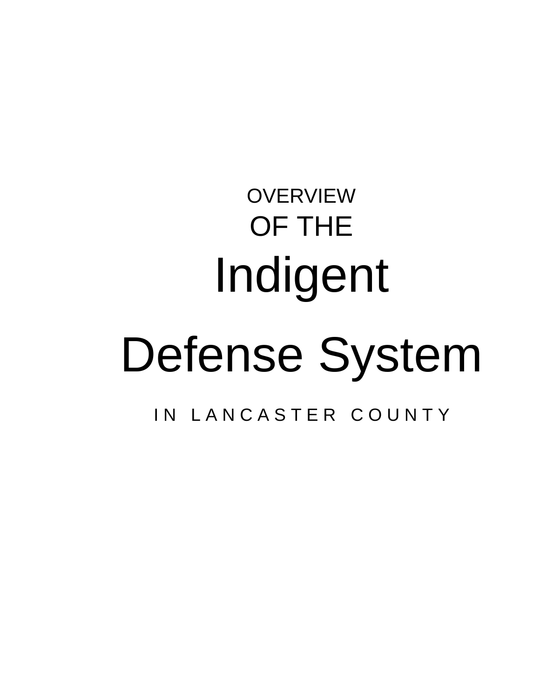# **OVERVIEW** OF THE Indigent Defense System IN LANCASTER COUNTY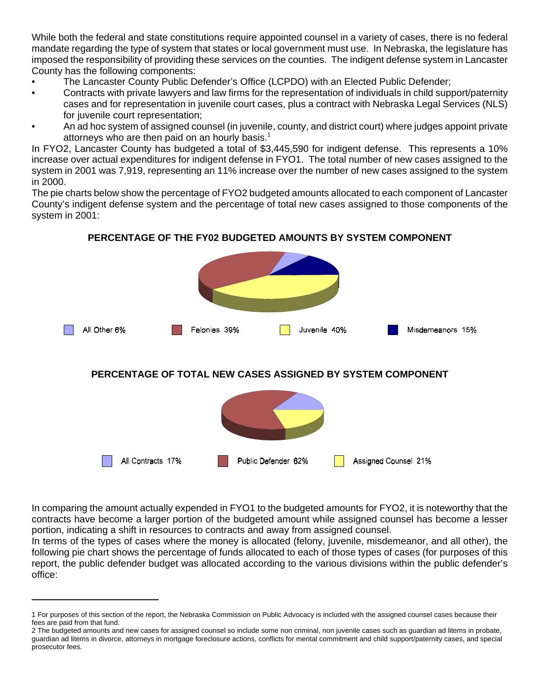While both the federal and state constitutions require appointed counsel in a variety of cases, there is no federal mandate regarding the type of system that states or local government must use. In Nebraska, the legislature has imposed the responsibility of providing these services on the counties. The indigent defense system in Lancaster County has the following components:

- The Lancaster County Public Defender's Office (LCPDO) with an Elected Public Defender;
- Contracts with private lawyers and law firms for the representation of individuals in child support/paternity cases and for representation in juvenile court cases, plus a contract with Nebraska Legal Services (NLS) for juvenile court representation;
- An ad hoc system of assigned counsel (in juvenile, county, and district court) where judges appoint private attorneys who are then paid on an hourly basis.<sup>1</sup>

In FYO2, Lancaster County has budgeted a total of \$3,445,590 for indigent defense. This represents a 10% increase over actual expenditures for indigent defense in FYO1. The total number of new cases assigned to the system in 2001 was 7,919, representing an 11% increase over the number of new cases assigned to the system in 2000.

The pie charts below show the percentage of FYO2 budgeted amounts allocated to each component of Lancaster County's indigent defense system and the percentage of total new cases assigned to those components of the system in 2001:

## All Other 6% Felonies 39% Juvenile 40% Misdemeanors 15% **PERCENTAGE OF TOTAL NEW CASES ASSIGNED BY SYSTEM COMPONENT**

#### **PERCENTAGE OF THE FY02 BUDGETED AMOUNTS BY SYSTEM COMPONENT**

In comparing the amount actually expended in FYO1 to the budgeted amounts for FYO2, it is noteworthy that the contracts have become a larger portion of the budgeted amount while assigned counsel has become a lesser portion, indicating a shift in resources to contracts and away from assigned counsel.

Public Defender 62%

Assigned Counsel 21%

All Contracts 17%

In terms of the types of cases where the money is allocated (felony, juvenile, misdemeanor, and all other), the following pie chart shows the percentage of funds allocated to each of those types of cases (for purposes of this report, the public defender budget was allocated according to the various divisions within the public defender's office:

<sup>1</sup> For purposes of this section of the report, the Nebraska Commission on Public Advocacy is included with the assigned counsel cases because their fees are paid from that fund.

<sup>2</sup> The budgeted amounts and new cases for assigned counsel so include some non criminal, non juvenile cases such as guardian ad litems in probate, guardian ad litems in divorce, attorneys in mortgage foreclosure actions, conflicts for mental commitment and child support/paternity cases, and special prosecutor fees.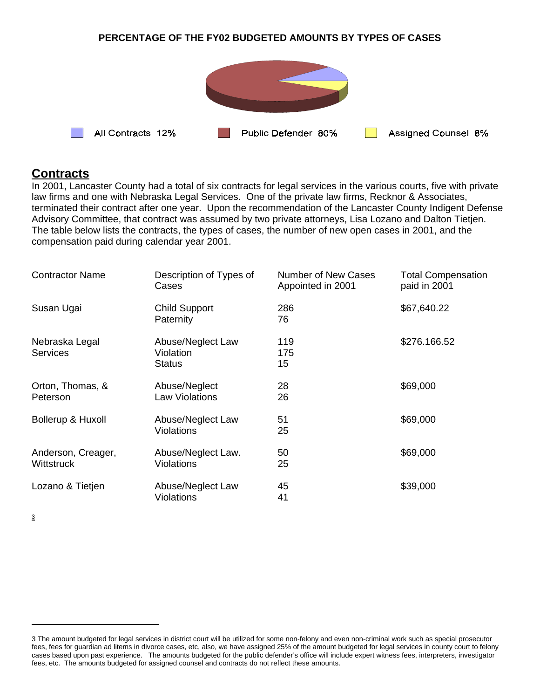#### **PERCENTAGE OF THE FY02 BUDGETED AMOUNTS BY TYPES OF CASES**



#### **Contracts**

In 2001, Lancaster County had a total of six contracts for legal services in the various courts, five with private law firms and one with Nebraska Legal Services. One of the private law firms, Recknor & Associates, terminated their contract after one year. Upon the recommendation of the Lancaster County Indigent Defense Advisory Committee, that contract was assumed by two private attorneys, Lisa Lozano and Dalton Tietjen. The table below lists the contracts, the types of cases, the number of new open cases in 2001, and the compensation paid during calendar year 2001.

| <b>Contractor Name</b>            | Description of Types of<br>Cases                | <b>Number of New Cases</b><br>Appointed in 2001 | <b>Total Compensation</b><br>paid in 2001 |
|-----------------------------------|-------------------------------------------------|-------------------------------------------------|-------------------------------------------|
| Susan Ugai                        | <b>Child Support</b><br>Paternity               | 286<br>76                                       | \$67,640.22                               |
| Nebraska Legal<br><b>Services</b> | Abuse/Neglect Law<br>Violation<br><b>Status</b> | 119<br>175<br>15                                | \$276.166.52                              |
| Orton, Thomas, &<br>Peterson      | Abuse/Neglect<br><b>Law Violations</b>          | 28<br>26                                        | \$69,000                                  |
| Bollerup & Huxoll                 | Abuse/Neglect Law<br><b>Violations</b>          | 51<br>25                                        | \$69,000                                  |
| Anderson, Creager,<br>Wittstruck  | Abuse/Neglect Law.<br><b>Violations</b>         | 50<br>25                                        | \$69,000                                  |
| Lozano & Tietjen                  | Abuse/Neglect Law<br><b>Violations</b>          | 45<br>41                                        | \$39,000                                  |

3

<sup>3</sup> The amount budgeted for legal services in district court will be utilized for some non-felony and even non-criminal work such as special prosecutor fees, fees for guardian ad litems in divorce cases, etc, also, we have assigned 25% of the amount budgeted for legal services in county court to felony cases based upon past experience. The amounts budgeted for the public defender's office will include expert witness fees, interpreters, investigator fees, etc. The amounts budgeted for assigned counsel and contracts do not reflect these amounts.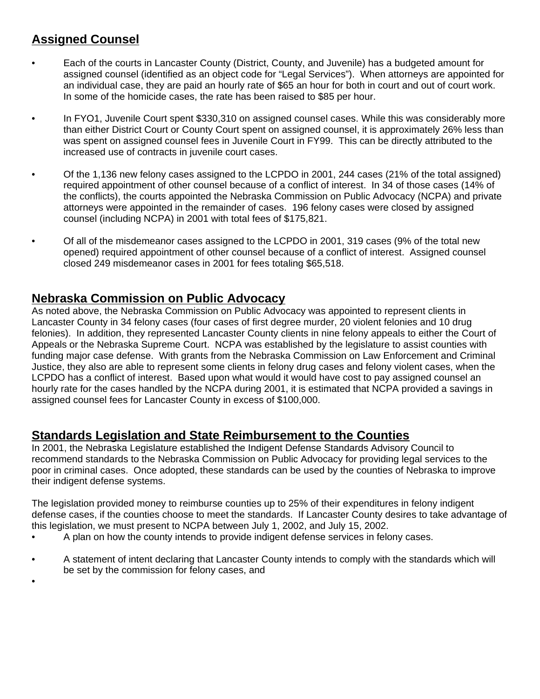## **Assigned Counsel**

•

- Each of the courts in Lancaster County (District, County, and Juvenile) has a budgeted amount for assigned counsel (identified as an object code for "Legal Services"). When attorneys are appointed for an individual case, they are paid an hourly rate of \$65 an hour for both in court and out of court work. In some of the homicide cases, the rate has been raised to \$85 per hour.
- In FYO1, Juvenile Court spent \$330,310 on assigned counsel cases. While this was considerably more than either District Court or County Court spent on assigned counsel, it is approximately 26% less than was spent on assigned counsel fees in Juvenile Court in FY99. This can be directly attributed to the increased use of contracts in juvenile court cases.
- Of the 1,136 new felony cases assigned to the LCPDO in 2001, 244 cases (21% of the total assigned) required appointment of other counsel because of a conflict of interest. In 34 of those cases (14% of the conflicts), the courts appointed the Nebraska Commission on Public Advocacy (NCPA) and private attorneys were appointed in the remainder of cases. 196 felony cases were closed by assigned counsel (including NCPA) in 2001 with total fees of \$175,821.
- Of all of the misdemeanor cases assigned to the LCPDO in 2001, 319 cases (9% of the total new opened) required appointment of other counsel because of a conflict of interest. Assigned counsel closed 249 misdemeanor cases in 2001 for fees totaling \$65,518.

## **Nebraska Commission on Public Advocacy**

As noted above, the Nebraska Commission on Public Advocacy was appointed to represent clients in Lancaster County in 34 felony cases (four cases of first degree murder, 20 violent felonies and 10 drug felonies). In addition, they represented Lancaster County clients in nine felony appeals to either the Court of Appeals or the Nebraska Supreme Court. NCPA was established by the legislature to assist counties with funding major case defense. With grants from the Nebraska Commission on Law Enforcement and Criminal Justice, they also are able to represent some clients in felony drug cases and felony violent cases, when the LCPDO has a conflict of interest. Based upon what would it would have cost to pay assigned counsel an hourly rate for the cases handled by the NCPA during 2001, it is estimated that NCPA provided a savings in assigned counsel fees for Lancaster County in excess of \$100,000.

### **Standards Legislation and State Reimbursement to the Counties**

In 2001, the Nebraska Legislature established the Indigent Defense Standards Advisory Council to recommend standards to the Nebraska Commission on Public Advocacy for providing legal services to the poor in criminal cases. Once adopted, these standards can be used by the counties of Nebraska to improve their indigent defense systems.

The legislation provided money to reimburse counties up to 25% of their expenditures in felony indigent defense cases, if the counties choose to meet the standards. If Lancaster County desires to take advantage of this legislation, we must present to NCPA between July 1, 2002, and July 15, 2002.

- A plan on how the county intends to provide indigent defense services in felony cases.
- A statement of intent declaring that Lancaster County intends to comply with the standards which will be set by the commission for felony cases, and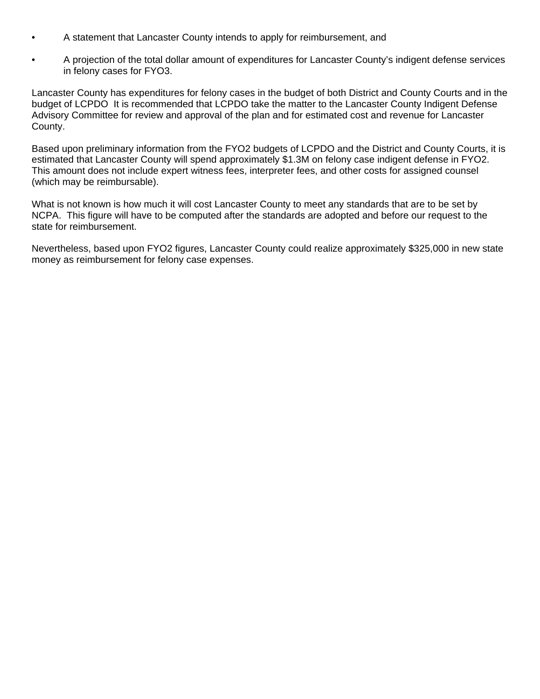- A statement that Lancaster County intends to apply for reimbursement, and
- A projection of the total dollar amount of expenditures for Lancaster County's indigent defense services in felony cases for FYO3.

Lancaster County has expenditures for felony cases in the budget of both District and County Courts and in the budget of LCPDO It is recommended that LCPDO take the matter to the Lancaster County Indigent Defense Advisory Committee for review and approval of the plan and for estimated cost and revenue for Lancaster County.

Based upon preliminary information from the FYO2 budgets of LCPDO and the District and County Courts, it is estimated that Lancaster County will spend approximately \$1.3M on felony case indigent defense in FYO2. This amount does not include expert witness fees, interpreter fees, and other costs for assigned counsel (which may be reimbursable).

What is not known is how much it will cost Lancaster County to meet any standards that are to be set by NCPA. This figure will have to be computed after the standards are adopted and before our request to the state for reimbursement.

Nevertheless, based upon FYO2 figures, Lancaster County could realize approximately \$325,000 in new state money as reimbursement for felony case expenses.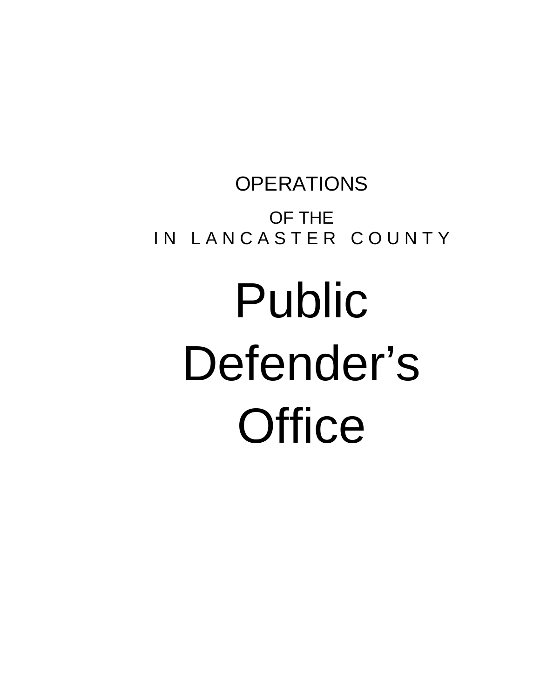## **OPERATIONS** OF THE IN LANCASTER COUNTY

# Public Defender's **Office**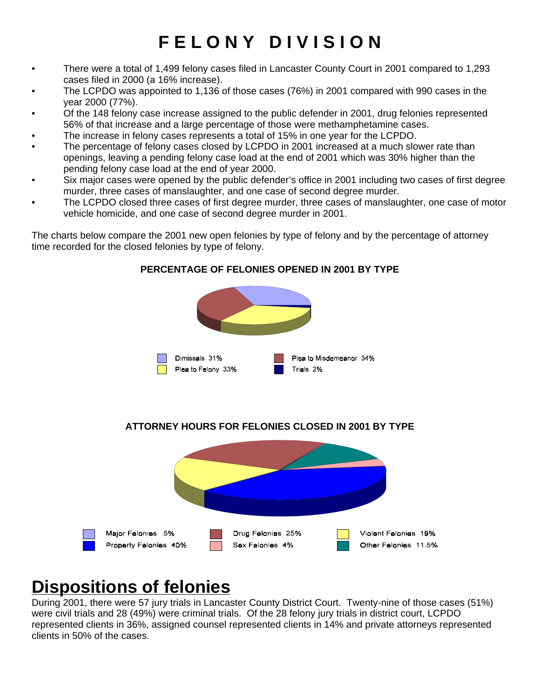## **F E L O N Y D I V I S I O N**

- There were a total of 1,499 felony cases filed in Lancaster County Court in 2001 compared to 1,293 cases filed in 2000 (a 16% increase).
- The LCPDO was appointed to 1,136 of those cases (76%) in 2001 compared with 990 cases in the year 2000 (77%).
- Of the 148 felony case increase assigned to the public defender in 2001, drug felonies represented 56% of that increase and a large percentage of those were methamphetamine cases.
- The increase in felony cases represents a total of 15% in one year for the LCPDO.
- The percentage of felony cases closed by LCPDO in 2001 increased at a much slower rate than openings, leaving a pending felony case load at the end of 2001 which was 30% higher than the pending felony case load at the end of year 2000.
- Six major cases were opened by the public defender's office in 2001 including two cases of first degree murder, three cases of manslaughter, and one case of second degree murder.
- The LCPDO closed three cases of first degree murder, three cases of manslaughter, one case of motor vehicle homicide, and one case of second degree murder in 2001.

The charts below compare the 2001 new open felonies by type of felony and by the percentage of attorney time recorded for the closed felonies by type of felony.



#### **PERCENTAGE OF FELONIES OPENED IN 2001 BY TYPE**





## **Dispositions of felonies**

During 2001, there were 57 jury trials in Lancaster County District Court. Twenty-nine of those cases (51%) were civil trials and 28 (49%) were criminal trials. Of the 28 felony jury trials in district court, LCPDO represented clients in 36%, assigned counsel represented clients in 14% and private attorneys represented clients in 50% of the cases.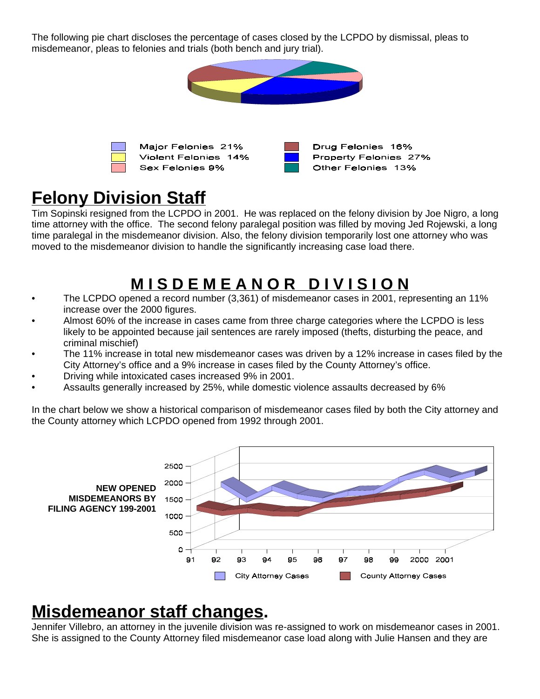The following pie chart discloses the percentage of cases closed by the LCPDO by dismissal, pleas to misdemeanor, pleas to felonies and trials (both bench and jury trial).



## **Felony Division Staff**

Tim Sopinski resigned from the LCPDO in 2001. He was replaced on the felony division by Joe Nigro, a long time attorney with the office. The second felony paralegal position was filled by moving Jed Rojewski, a long time paralegal in the misdemeanor division. Also, the felony division temporarily lost one attorney who was moved to the misdemeanor division to handle the significantly increasing case load there.

## **M I S D E M E A N O R D I V I S I O N**

- The LCPDO opened a record number (3,361) of misdemeanor cases in 2001, representing an 11% increase over the 2000 figures.
- Almost 60% of the increase in cases came from three charge categories where the LCPDO is less likely to be appointed because jail sentences are rarely imposed (thefts, disturbing the peace, and criminal mischief)
- The 11% increase in total new misdemeanor cases was driven by a 12% increase in cases filed by the City Attorney's office and a 9% increase in cases filed by the County Attorney's office.
- Driving while intoxicated cases increased 9% in 2001.
- Assaults generally increased by 25%, while domestic violence assaults decreased by 6%

In the chart below we show a historical comparison of misdemeanor cases filed by both the City attorney and the County attorney which LCPDO opened from 1992 through 2001.



## **Misdemeanor staff changes.**

Jennifer Villebro, an attorney in the juvenile division was re-assigned to work on misdemeanor cases in 2001. She is assigned to the County Attorney filed misdemeanor case load along with Julie Hansen and they are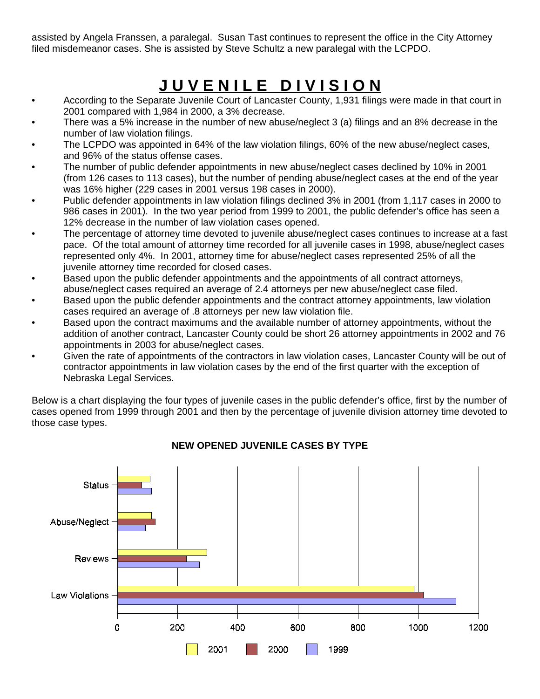assisted by Angela Franssen, a paralegal. Susan Tast continues to represent the office in the City Attorney filed misdemeanor cases. She is assisted by Steve Schultz a new paralegal with the LCPDO.

## **J U V E N I L E D I V I S I O N**

- According to the Separate Juvenile Court of Lancaster County, 1,931 filings were made in that court in 2001 compared with 1,984 in 2000, a 3% decrease.
- There was a 5% increase in the number of new abuse/neglect 3 (a) filings and an 8% decrease in the number of law violation filings.
- The LCPDO was appointed in 64% of the law violation filings, 60% of the new abuse/neglect cases, and 96% of the status offense cases.
- The number of public defender appointments in new abuse/neglect cases declined by 10% in 2001 (from 126 cases to 113 cases), but the number of pending abuse/neglect cases at the end of the year was 16% higher (229 cases in 2001 versus 198 cases in 2000).
- Public defender appointments in law violation filings declined 3% in 2001 (from 1,117 cases in 2000 to 986 cases in 2001). In the two year period from 1999 to 2001, the public defender's office has seen a 12% decrease in the number of law violation cases opened.
- The percentage of attorney time devoted to juvenile abuse/neglect cases continues to increase at a fast pace. Of the total amount of attorney time recorded for all juvenile cases in 1998, abuse/neglect cases represented only 4%. In 2001, attorney time for abuse/neglect cases represented 25% of all the juvenile attorney time recorded for closed cases.
- Based upon the public defender appointments and the appointments of all contract attorneys, abuse/neglect cases required an average of 2.4 attorneys per new abuse/neglect case filed.
- Based upon the public defender appointments and the contract attorney appointments, law violation cases required an average of .8 attorneys per new law violation file.
- Based upon the contract maximums and the available number of attorney appointments, without the addition of another contract, Lancaster County could be short 26 attorney appointments in 2002 and 76 appointments in 2003 for abuse/neglect cases.
- Given the rate of appointments of the contractors in law violation cases, Lancaster County will be out of contractor appointments in law violation cases by the end of the first quarter with the exception of Nebraska Legal Services.

Below is a chart displaying the four types of juvenile cases in the public defender's office, first by the number of cases opened from 1999 through 2001 and then by the percentage of juvenile division attorney time devoted to those case types.



#### **NEW OPENED JUVENILE CASES BY TYPE**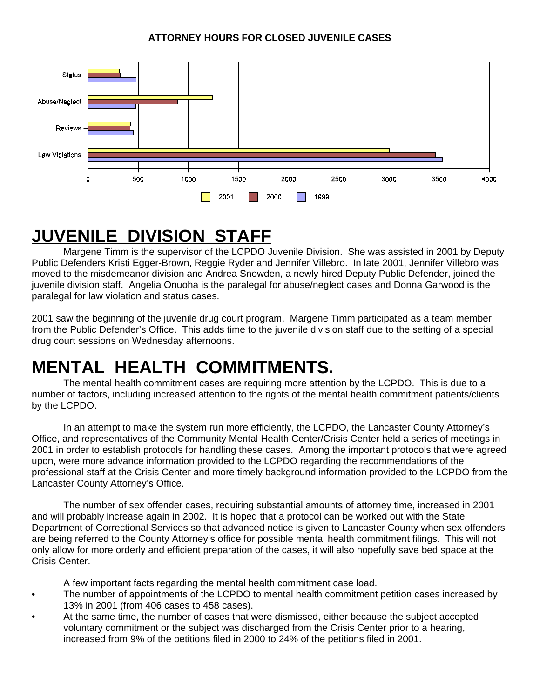

## **JUVENILE DIVISION STAFF**

Margene Timm is the supervisor of the LCPDO Juvenile Division. She was assisted in 2001 by Deputy Public Defenders Kristi Egger-Brown, Reggie Ryder and Jennifer Villebro. In late 2001, Jennifer Villebro was moved to the misdemeanor division and Andrea Snowden, a newly hired Deputy Public Defender, joined the juvenile division staff. Angelia Onuoha is the paralegal for abuse/neglect cases and Donna Garwood is the paralegal for law violation and status cases.

2001 saw the beginning of the juvenile drug court program. Margene Timm participated as a team member from the Public Defender's Office. This adds time to the juvenile division staff due to the setting of a special drug court sessions on Wednesday afternoons.

## **MENTAL HEALTH COMMITMENTS.**

The mental health commitment cases are requiring more attention by the LCPDO. This is due to a number of factors, including increased attention to the rights of the mental health commitment patients/clients by the LCPDO.

In an attempt to make the system run more efficiently, the LCPDO, the Lancaster County Attorney's Office, and representatives of the Community Mental Health Center/Crisis Center held a series of meetings in 2001 in order to establish protocols for handling these cases. Among the important protocols that were agreed upon, were more advance information provided to the LCPDO regarding the recommendations of the professional staff at the Crisis Center and more timely background information provided to the LCPDO from the Lancaster County Attorney's Office.

The number of sex offender cases, requiring substantial amounts of attorney time, increased in 2001 and will probably increase again in 2002. It is hoped that a protocol can be worked out with the State Department of Correctional Services so that advanced notice is given to Lancaster County when sex offenders are being referred to the County Attorney's office for possible mental health commitment filings. This will not only allow for more orderly and efficient preparation of the cases, it will also hopefully save bed space at the Crisis Center.

- A few important facts regarding the mental health commitment case load.
- The number of appointments of the LCPDO to mental health commitment petition cases increased by 13% in 2001 (from 406 cases to 458 cases).
- At the same time, the number of cases that were dismissed, either because the subject accepted voluntary commitment or the subject was discharged from the Crisis Center prior to a hearing, increased from 9% of the petitions filed in 2000 to 24% of the petitions filed in 2001.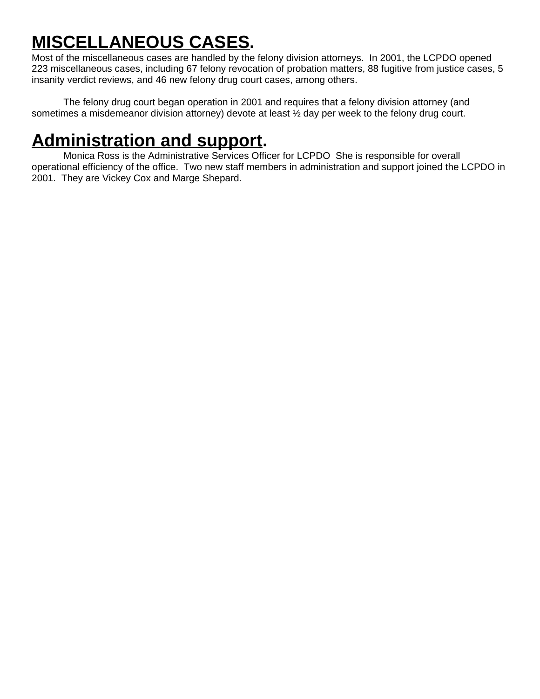## **MISCELLANEOUS CASES.**

Most of the miscellaneous cases are handled by the felony division attorneys. In 2001, the LCPDO opened 223 miscellaneous cases, including 67 felony revocation of probation matters, 88 fugitive from justice cases, 5 insanity verdict reviews, and 46 new felony drug court cases, among others.

The felony drug court began operation in 2001 and requires that a felony division attorney (and sometimes a misdemeanor division attorney) devote at least  $\frac{1}{2}$  day per week to the felony drug court.

## **Administration and support.**

Monica Ross is the Administrative Services Officer for LCPDO She is responsible for overall operational efficiency of the office. Two new staff members in administration and support joined the LCPDO in 2001. They are Vickey Cox and Marge Shepard.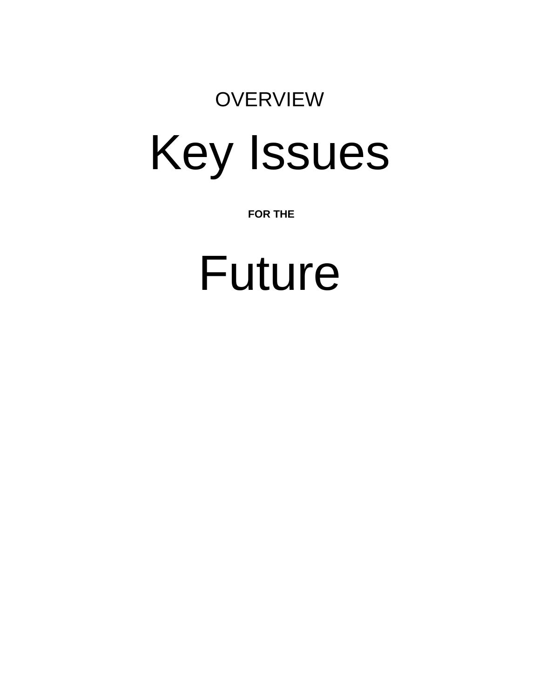## **OVERVIEW**

# Key Issues

 **FOR THE**

# Future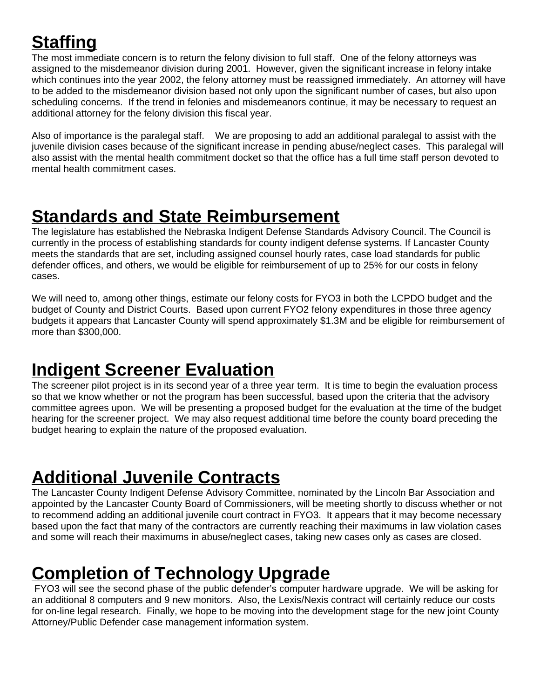## **Staffing**

The most immediate concern is to return the felony division to full staff. One of the felony attorneys was assigned to the misdemeanor division during 2001. However, given the significant increase in felony intake which continues into the year 2002, the felony attorney must be reassigned immediately. An attorney will have to be added to the misdemeanor division based not only upon the significant number of cases, but also upon scheduling concerns. If the trend in felonies and misdemeanors continue, it may be necessary to request an additional attorney for the felony division this fiscal year.

Also of importance is the paralegal staff. We are proposing to add an additional paralegal to assist with the juvenile division cases because of the significant increase in pending abuse/neglect cases. This paralegal will also assist with the mental health commitment docket so that the office has a full time staff person devoted to mental health commitment cases.

## **Standards and State Reimbursement**

The legislature has established the Nebraska Indigent Defense Standards Advisory Council. The Council is currently in the process of establishing standards for county indigent defense systems. If Lancaster County meets the standards that are set, including assigned counsel hourly rates, case load standards for public defender offices, and others, we would be eligible for reimbursement of up to 25% for our costs in felony cases.

We will need to, among other things, estimate our felony costs for FYO3 in both the LCPDO budget and the budget of County and District Courts. Based upon current FYO2 felony expenditures in those three agency budgets it appears that Lancaster County will spend approximately \$1.3M and be eligible for reimbursement of more than \$300,000.

## **Indigent Screener Evaluation**

The screener pilot project is in its second year of a three year term. It is time to begin the evaluation process so that we know whether or not the program has been successful, based upon the criteria that the advisory committee agrees upon. We will be presenting a proposed budget for the evaluation at the time of the budget hearing for the screener project. We may also request additional time before the county board preceding the budget hearing to explain the nature of the proposed evaluation.

## **Additional Juvenile Contracts**

The Lancaster County Indigent Defense Advisory Committee, nominated by the Lincoln Bar Association and appointed by the Lancaster County Board of Commissioners, will be meeting shortly to discuss whether or not to recommend adding an additional juvenile court contract in FYO3. It appears that it may become necessary based upon the fact that many of the contractors are currently reaching their maximums in law violation cases and some will reach their maximums in abuse/neglect cases, taking new cases only as cases are closed.

## **Completion of Technology Upgrade**

 FYO3 will see the second phase of the public defender's computer hardware upgrade. We will be asking for an additional 8 computers and 9 new monitors. Also, the Lexis/Nexis contract will certainly reduce our costs for on-line legal research. Finally, we hope to be moving into the development stage for the new joint County Attorney/Public Defender case management information system.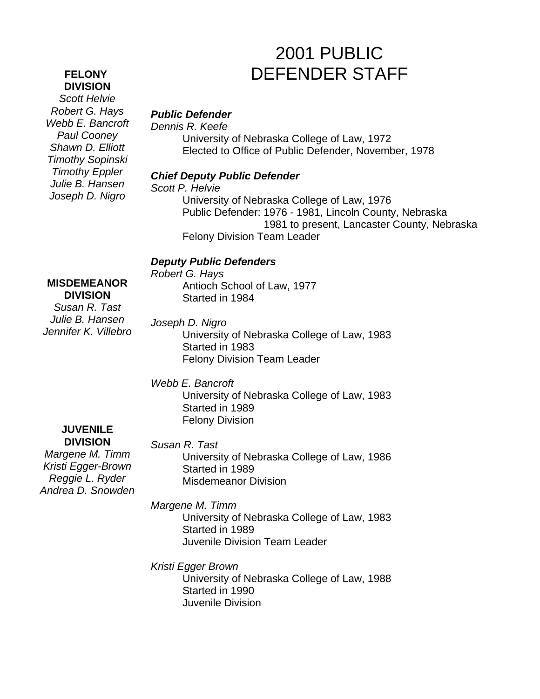#### **FELONY DIVISION**

*Scott Helvie Robert G. Hays Webb E. Bancroft Paul Cooney Shawn D. Elliott Timothy Sopinski Timothy Eppler Julie B. Hansen Joseph D. Nigro*

## 2001 PUBLIC DEFENDER STAFF

#### *Public Defender*

*Dennis R. Keefe*

University of Nebraska College of Law, 1972 Elected to Office of Public Defender, November, 1978

#### *Chief Deputy Public Defender*

*Scott P. Helvie*

University of Nebraska College of Law, 1976 Public Defender: 1976 - 1981, Lincoln County, Nebraska 1981 to present, Lancaster County, Nebraska Felony Division Team Leader

#### *Deputy Public Defenders*

*Robert G. Hays* Antioch School of Law, 1977 Started in 1984

**DIVISION** *Susan R. Tast Julie B. Hansen Jennifer K. Villebro*

**MISDEMEANOR**

#### *Joseph D. Nigro*

University of Nebraska College of Law, 1983 Started in 1983 Felony Division Team Leader

#### *Webb E. Bancroft*

University of Nebraska College of Law, 1983 Started in 1989 Felony Division

#### **JUVENILE DIVISION**

*Margene M. Timm Kristi Egger-Brown Reggie L. Ryder Andrea D. Snowden*

#### *Susan R. Tast*

University of Nebraska College of Law, 1986 Started in 1989 Misdemeanor Division

*Margene M. Timm*

University of Nebraska College of Law, 1983 Started in 1989 Juvenile Division Team Leader

*Kristi Egger Brown*

University of Nebraska College of Law, 1988 Started in 1990 Juvenile Division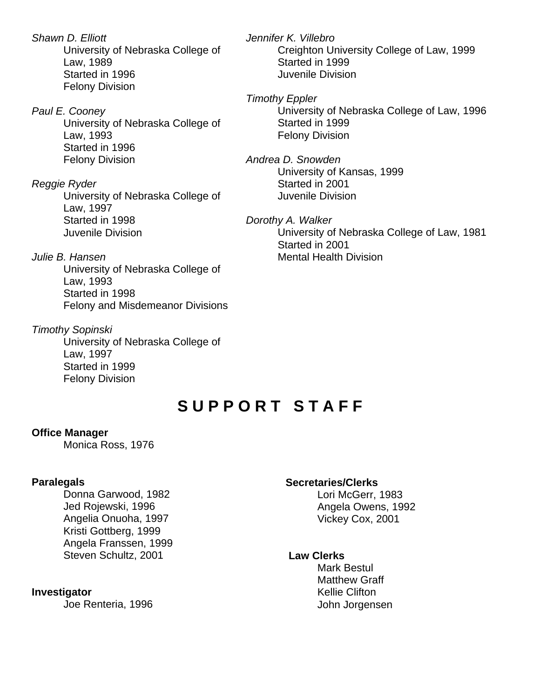*Shawn D. Elliott* University of Nebraska College of Law, 1989 Started in 1996 Felony Division

*Paul E. Cooney* University of Nebraska College of Law, 1993 Started in 1996 Felony Division

*Reggie Ryder* University of Nebraska College of Law, 1997 Started in 1998 Juvenile Division

*Julie B. Hansen* University of Nebraska College of Law, 1993 Started in 1998 Felony and Misdemeanor Divisions

*Timothy Sopinski* University of Nebraska College of Law, 1997 Started in 1999 Felony Division

*Jennifer K. Villebro* Creighton University College of Law, 1999 Started in 1999 Juvenile Division

*Timothy Eppler* University of Nebraska College of Law, 1996 Started in 1999 Felony Division

*Andrea D. Snowden* University of Kansas, 1999 Started in 2001 Juvenile Division

*Dorothy A. Walker* University of Nebraska College of Law, 1981 Started in 2001 Mental Health Division

## **S U P P O R T S T A F F**

#### **Office Manager**

Monica Ross, 1976

#### **Paralegals**

Donna Garwood, 1982 Jed Rojewski, 1996 Angelia Onuoha, 1997 Kristi Gottberg, 1999 Angela Franssen, 1999 Steven Schultz, 2001

#### **Investigator**

Joe Renteria, 1996

#### **Secretaries/Clerks**

Lori McGerr, 1983 Angela Owens, 1992 Vickey Cox, 2001

#### **Law Clerks**

Mark Bestul Matthew Graff Kellie Clifton John Jorgensen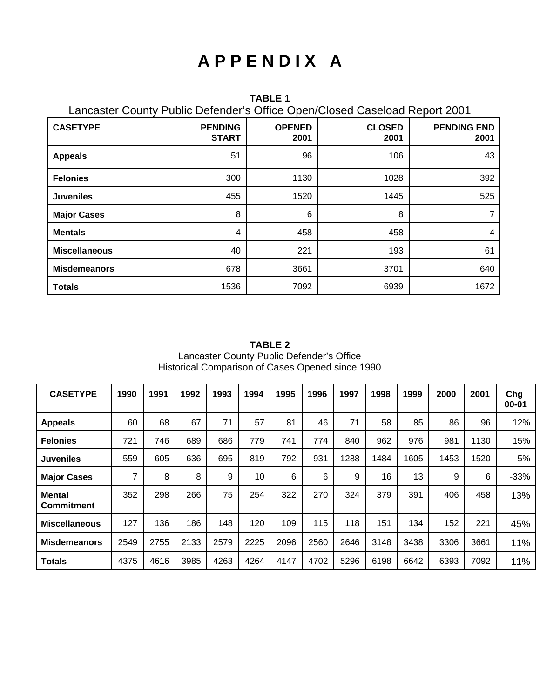## **A P P E N D I X A**

**TABLE 1** Lancaster County Public Defender's Office Open/Closed Caseload Report 2001

| <b>CASETYPE</b>      | <b>PENDING</b><br><b>START</b> | <b>OPENED</b><br>2001 | <b>CLOSED</b><br>2001 | <b>PENDING END</b><br>2001 |
|----------------------|--------------------------------|-----------------------|-----------------------|----------------------------|
| <b>Appeals</b>       | 51                             | 96                    | 106                   | 43                         |
| <b>Felonies</b>      | 300                            | 1130                  | 1028                  | 392                        |
| <b>Juveniles</b>     | 455                            | 1520                  | 1445                  | 525                        |
| <b>Major Cases</b>   | 8                              | 6                     | 8                     |                            |
| <b>Mentals</b>       | 4                              | 458                   | 458                   | 4                          |
| <b>Miscellaneous</b> | 40                             | 221                   | 193                   | 61                         |
| <b>Misdemeanors</b>  | 678                            | 3661                  | 3701                  | 640                        |
| <b>Totals</b>        | 1536                           | 7092                  | 6939                  | 1672                       |

**TABLE 2** Lancaster County Public Defender's Office Historical Comparison of Cases Opened since 1990

| <b>CASETYPE</b>                    | 1990 | 1991 | 1992 | 1993 | 1994 | 1995 | 1996 | 1997 | 1998 | 1999 | 2000 | 2001 | Chg<br>$00 - 01$ |
|------------------------------------|------|------|------|------|------|------|------|------|------|------|------|------|------------------|
| <b>Appeals</b>                     | 60   | 68   | 67   | 71   | 57   | 81   | 46   | 71   | 58   | 85   | 86   | 96   | 12%              |
| <b>Felonies</b>                    | 721  | 746  | 689  | 686  | 779  | 741  | 774  | 840  | 962  | 976  | 981  | 1130 | 15%              |
| <b>Juveniles</b>                   | 559  | 605  | 636  | 695  | 819  | 792  | 931  | 1288 | 1484 | 1605 | 1453 | 1520 | 5%               |
| <b>Major Cases</b>                 | 7    | 8    | 8    | 9    | 10   | 6    | 6    | 9    | 16   | 13   | 9    | 6    | $-33%$           |
| <b>Mental</b><br><b>Commitment</b> | 352  | 298  | 266  | 75   | 254  | 322  | 270  | 324  | 379  | 391  | 406  | 458  | 13%              |
| <b>Miscellaneous</b>               | 127  | 136  | 186  | 148  | 120  | 109  | 115  | 118  | 151  | 134  | 152  | 221  | 45%              |
| <b>Misdemeanors</b>                | 2549 | 2755 | 2133 | 2579 | 2225 | 2096 | 2560 | 2646 | 3148 | 3438 | 3306 | 3661 | 11%              |
| <b>Totals</b>                      | 4375 | 4616 | 3985 | 4263 | 4264 | 4147 | 4702 | 5296 | 6198 | 6642 | 6393 | 7092 | 11%              |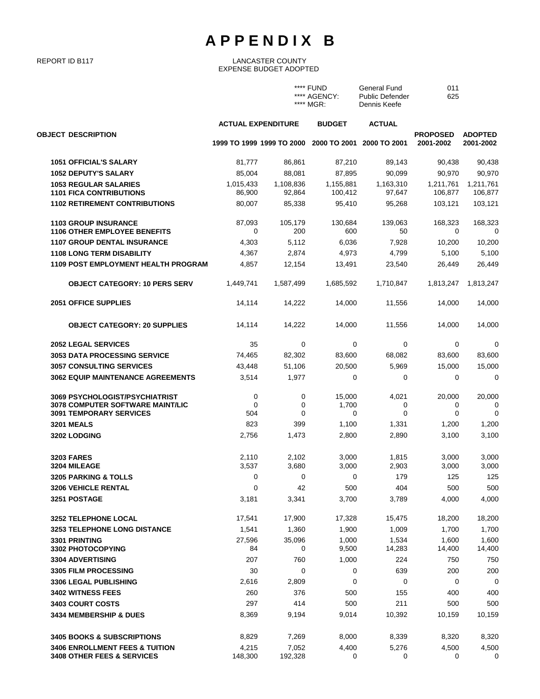## **A P P E N D I X B**

#### REPORT ID B117 LANCASTER COUNTY EXPENSE BUDGET ADOPTED

|                                                                                                      |                           |                           | **** FUND<br>**** AGENCY:<br>**** MGR: | General Fund<br><b>Public Defender</b><br>Dennis Keefe | 011<br>625                   |                             |
|------------------------------------------------------------------------------------------------------|---------------------------|---------------------------|----------------------------------------|--------------------------------------------------------|------------------------------|-----------------------------|
|                                                                                                      | <b>ACTUAL EXPENDITURE</b> |                           | <b>BUDGET</b>                          | <b>ACTUAL</b>                                          |                              |                             |
| <b>OBJECT DESCRIPTION</b>                                                                            |                           | 1999 TO 1999 1999 TO 2000 | 2000 TO 2001                           | 2000 TO 2001                                           | <b>PROPOSED</b><br>2001-2002 | <b>ADOPTED</b><br>2001-2002 |
| <b>1051 OFFICIAL'S SALARY</b>                                                                        | 81,777                    | 86,861                    | 87,210                                 | 89,143                                                 | 90,438                       | 90,438                      |
| <b>1052 DEPUTY'S SALARY</b>                                                                          | 85,004                    | 88,081                    | 87,895                                 | 90,099                                                 | 90,970                       | 90,970                      |
| <b>1053 REGULAR SALARIES</b><br><b>1101 FICA CONTRIBUTIONS</b>                                       | 1,015,433<br>86,900       | 1,108,836<br>92,864       | 1,155,881<br>100,412                   | 1,163,310<br>97,647                                    | 1,211,761<br>106,877         | 1,211,761<br>106,877        |
| <b>1102 RETIREMENT CONTRIBUTIONS</b>                                                                 | 80,007                    | 85,338                    | 95,410                                 | 95,268                                                 | 103,121                      | 103,121                     |
| <b>1103 GROUP INSURANCE</b><br><b>1106 OTHER EMPLOYEE BENEFITS</b>                                   | 87,093<br>0               | 105,179<br>200            | 130,684<br>600                         | 139,063<br>50                                          | 168,323<br>0                 | 168,323<br>0                |
| 1107 GROUP DENTAL INSURANCE                                                                          | 4,303                     | 5,112                     | 6,036                                  | 7,928                                                  |                              | 10,200                      |
| <b>1108 LONG TERM DISABILITY</b>                                                                     | 4,367                     | 2,874                     | 4,973                                  | 4,799                                                  | 10,200<br>5,100              | 5,100                       |
| 1109 POST EMPLOYMENT HEALTH PROGRAM                                                                  | 4,857                     | 12,154                    | 13,491                                 | 23,540                                                 | 26,449                       | 26,449                      |
| <b>OBJECT CATEGORY: 10 PERS SERV</b>                                                                 | 1,449,741                 | 1,587,499                 | 1,685,592                              | 1,710,847                                              | 1,813,247                    | 1,813,247                   |
| <b>2051 OFFICE SUPPLIES</b>                                                                          | 14,114                    | 14,222                    | 14,000                                 | 11,556                                                 | 14,000                       | 14,000                      |
| <b>OBJECT CATEGORY: 20 SUPPLIES</b>                                                                  | 14,114                    | 14,222                    | 14,000                                 | 11,556                                                 | 14,000                       | 14,000                      |
| <b>2052 LEGAL SERVICES</b>                                                                           | 35                        | 0                         | 0                                      | 0                                                      | 0                            | 0                           |
| <b>3053 DATA PROCESSING SERVICE</b>                                                                  | 74,465                    | 82,302                    | 83,600                                 | 68,082                                                 | 83,600                       | 83,600                      |
| <b>3057 CONSULTING SERVICES</b>                                                                      | 43,448                    | 51,106                    | 20,500                                 | 5,969                                                  | 15,000                       | 15,000                      |
| <b>3062 EQUIP MAINTENANCE AGREEMENTS</b>                                                             | 3,514                     | 1,977                     | 0                                      | 0                                                      | $\mathbf 0$                  | 0                           |
| 3069 PSYCHOLOGIST/PSYCHIATRIST<br>3078 COMPUTER SOFTWARE MAINT/LIC<br><b>3091 TEMPORARY SERVICES</b> | 0<br>0<br>504             | 0<br>0<br>$\Omega$        | 15,000<br>1,700<br>0                   | 4,021<br>0<br>0                                        | 20,000<br>0<br>$\mathbf 0$   | 20,000<br>0<br>0            |
| <b>3201 MEALS</b>                                                                                    | 823                       | 399                       | 1,100                                  | 1,331                                                  | 1,200                        | 1,200                       |
| <b>3202 LODGING</b>                                                                                  | 2,756                     | 1,473                     | 2,800                                  | 2,890                                                  | 3,100                        | 3,100                       |
| <b>3203 FARES</b><br>3204 MILEAGE                                                                    | 2,110<br>3,537            | 2,102<br>3,680            | 3,000<br>3,000                         | 1,815<br>2,903                                         | 3,000<br>3,000               | 3,000<br>3,000              |
| 3205 PARKING & TOLLS                                                                                 | 0                         | 0                         | 0                                      | 179                                                    | 125                          | 125                         |
| <b>3206 VEHICLE RENTAL</b>                                                                           | 0                         | 42                        | 500                                    | 404                                                    | 500                          | 500                         |
| 3251 POSTAGE                                                                                         | 3,181                     | 3,341                     | 3,700                                  | 3,789                                                  | 4,000                        | 4,000                       |
| 3252 TELEPHONE LOCAL                                                                                 | 17,541                    | 17,900                    | 17,328                                 | 15,475                                                 | 18,200                       | 18,200                      |
| <b>3253 TELEPHONE LONG DISTANCE</b>                                                                  | 1,541                     | 1,360                     | 1,900                                  | 1,009                                                  | 1,700                        | 1,700                       |
| 3301 PRINTING<br>3302 PHOTOCOPYING                                                                   | 27,596<br>84              | 35,096<br>0               | 1,000<br>9,500                         | 1,534<br>14,283                                        | 1,600<br>14,400              | 1,600<br>14,400             |
| <b>3304 ADVERTISING</b>                                                                              | 207                       | 760                       | 1,000                                  | 224                                                    | 750                          | 750                         |
| <b>3305 FILM PROCESSING</b>                                                                          | 30                        | 0                         | 0                                      | 639                                                    | 200                          | 200                         |
| <b>3306 LEGAL PUBLISHING</b>                                                                         | 2,616                     | 2,809                     | 0                                      | 0                                                      | 0                            | $\overline{0}$              |
| 3402 WITNESS FEES                                                                                    | 260                       | 376                       | 500                                    | 155                                                    | 400                          | 400                         |
| 3403 COURT COSTS                                                                                     | 297                       | 414                       | 500                                    | 211                                                    | 500                          | 500                         |
| 3434 MEMBERSHIP & DUES                                                                               | 8,369                     | 9,194                     | 9,014                                  | 10,392                                                 | 10,159                       | 10,159                      |
| <b>3405 BOOKS &amp; SUBSCRIPTIONS</b>                                                                | 8,829                     | 7,269                     | 8,000                                  | 8,339                                                  | 8,320                        | 8,320                       |
| <b>3406 ENROLLMENT FEES &amp; TUITION</b>                                                            | 4,215                     | 7,052                     | 4,400                                  | 5,276                                                  | 4,500                        | 4,500                       |
| <b>3408 OTHER FEES &amp; SERVICES</b>                                                                | 148,300                   | 192,328                   | 0                                      | 0                                                      | 0                            | 0                           |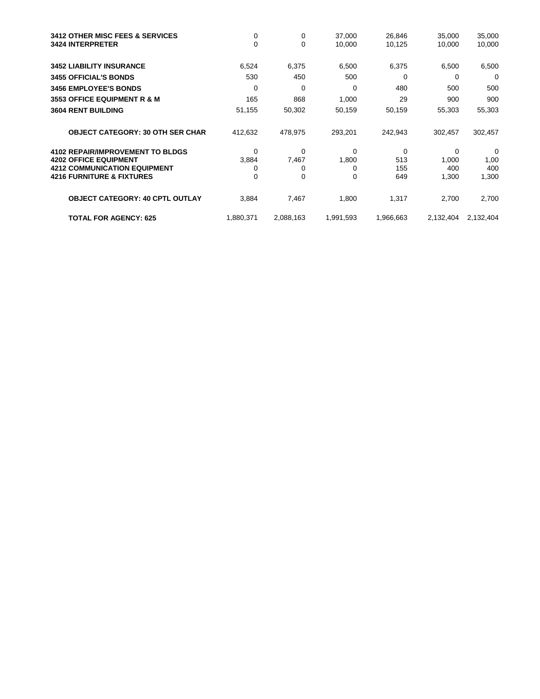| <b>3412 OTHER MISC FEES &amp; SERVICES</b><br><b>3424 INTERPRETER</b>   | 0<br>0     | 0<br>$\mathbf 0$ | 37,000<br>10,000 | 26,846<br>10,125 | 35,000<br>10,000 | 35,000<br>10,000 |
|-------------------------------------------------------------------------|------------|------------------|------------------|------------------|------------------|------------------|
| <b>3452 LIABILITY INSURANCE</b>                                         | 6,524      | 6,375            | 6,500            | 6,375            | 6,500            | 6,500            |
| <b>3455 OFFICIAL'S BONDS</b>                                            | 530        | 450              | 500              | 0                | 0                | 0                |
| <b>3456 EMPLOYEE'S BONDS</b>                                            | 0          | 0                | 0                | 480              | 500              | 500              |
| <b>3553 OFFICE EQUIPMENT R &amp; M</b>                                  | 165        | 868              | 1,000            | 29               | 900              | 900              |
| <b>3604 RENT BUILDING</b>                                               | 51,155     | 50,302           | 50,159           | 50,159           | 55,303           | 55,303           |
| <b>OBJECT CATEGORY: 30 OTH SER CHAR</b>                                 | 412,632    | 478,975          | 293,201          | 242,943          | 302,457          | 302,457          |
| <b>4102 REPAIR/IMPROVEMENT TO BLDGS</b><br><b>4202 OFFICE EQUIPMENT</b> | 0          | $\Omega$         | $\Omega$         | 0<br>513         | $\Omega$         | 0                |
| <b>4212 COMMUNICATION EQUIPMENT</b>                                     | 3,884<br>0 | 7,467<br>0       | 1,800<br>0       | 155              | 1,000<br>400     | 1,00<br>400      |
| <b>4216 FURNITURE &amp; FIXTURES</b>                                    | 0          | 0                | 0                | 649              | 1,300            | 1,300            |
| <b>OBJECT CATEGORY: 40 CPTL OUTLAY</b>                                  | 3,884      | 7,467            | 1,800            | 1,317            | 2,700            | 2,700            |
| <b>TOTAL FOR AGENCY: 625</b>                                            | 1,880,371  | 2,088,163        | 1,991,593        | 1,966,663        | 2,132,404        | 2,132,404        |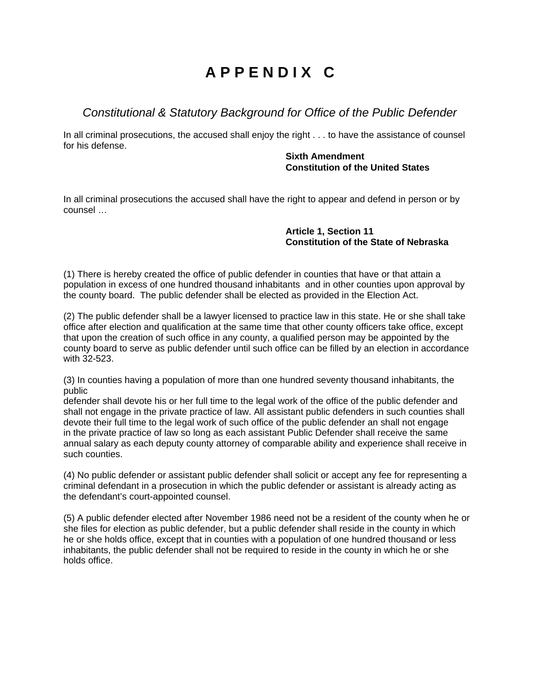## **A P P E N D I X C**

### *Constitutional & Statutory Background for Office of the Public Defender*

In all criminal prosecutions, the accused shall enjoy the right . . . to have the assistance of counsel for his defense.

#### **Sixth Amendment Constitution of the United States**

In all criminal prosecutions the accused shall have the right to appear and defend in person or by counsel …

#### **Article 1, Section 11 Constitution of the State of Nebraska**

(1) There is hereby created the office of public defender in counties that have or that attain a population in excess of one hundred thousand inhabitants and in other counties upon approval by the county board. The public defender shall be elected as provided in the Election Act.

(2) The public defender shall be a lawyer licensed to practice law in this state. He or she shall take office after election and qualification at the same time that other county officers take office, except that upon the creation of such office in any county, a qualified person may be appointed by the county board to serve as public defender until such office can be filled by an election in accordance with 32-523.

(3) In counties having a population of more than one hundred seventy thousand inhabitants, the public

defender shall devote his or her full time to the legal work of the office of the public defender and shall not engage in the private practice of law. All assistant public defenders in such counties shall devote their full time to the legal work of such office of the public defender an shall not engage in the private practice of law so long as each assistant Public Defender shall receive the same annual salary as each deputy county attorney of comparable ability and experience shall receive in such counties.

(4) No public defender or assistant public defender shall solicit or accept any fee for representing a criminal defendant in a prosecution in which the public defender or assistant is already acting as the defendant's court-appointed counsel.

(5) A public defender elected after November 1986 need not be a resident of the county when he or she files for election as public defender, but a public defender shall reside in the county in which he or she holds office, except that in counties with a population of one hundred thousand or less inhabitants, the public defender shall not be required to reside in the county in which he or she holds office.